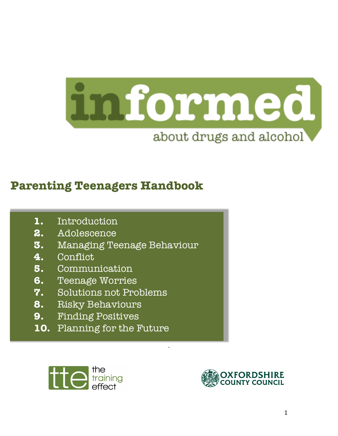

.

# **Parenting Teenagers Handbook**

- **1.** Introduction
- **2.** Adolescence
- **3.** Managing Teenage Behaviour
- **4.** Conflict
- **5.** Communication
- **6.** Teenage Worries
- **7.** Solutions not Problems
- **8.** Risky Behaviours
- **9.** Finding Positives
- **10.** Planning for the Future



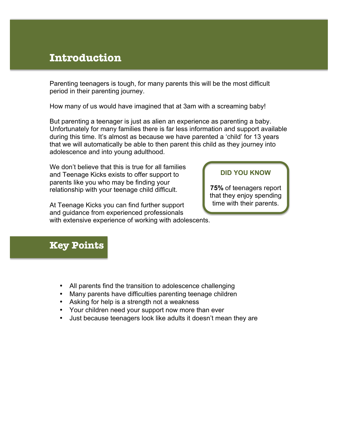### **Introduction**

Parenting teenagers is tough, for many parents this will be the most difficult period in their parenting journey.

How many of us would have imagined that at 3am with a screaming baby!

But parenting a teenager is just as alien an experience as parenting a baby. Unfortunately for many families there is far less information and support available during this time. It's almost as because we have parented a 'child' for 13 years that we will automatically be able to then parent this child as they journey into adolescence and into young adulthood.

We don't believe that this is true for all families and Teenage Kicks exists to offer support to parents like you who may be finding your relationship with your teenage child difficult.

At Teenage Kicks you can find further support and guidance from experienced professionals with extensive experience of working with adolescents.

#### **DID YOU KNOW**

**75%** of teenagers report that they enjoy spending time with their parents.

- All parents find the transition to adolescence challenging
- Many parents have difficulties parenting teenage children
- Asking for help is a strength not a weakness
- Your children need your support now more than ever
- Just because teenagers look like adults it doesn't mean they are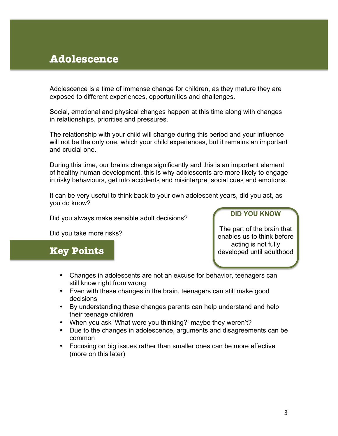## **Adolescence**

I

Adolescence is a time of immense change for children, as they mature they are exposed to different experiences, opportunities and challenges.

Social, emotional and physical changes happen at this time along with changes in relationships, priorities and pressures.

The relationship with your child will change during this period and your influence will not be the only one, which your child experiences, but it remains an important and crucial one.

During this time, our brains change significantly and this is an important element of healthy human development, this is why adolescents are more likely to engage in risky behaviours, get into accidents and misinterpret social cues and emotions.

It can be very useful to think back to your own adolescent years, did you act, as you do know?

Did you always make sensible adult decisions?

Did you take more risks?

### **Key Points**

**DID YOU KNOW**

The part of the brain that enables us to think before acting is not fully developed until adulthood

- Changes in adolescents are not an excuse for behavior, teenagers can still know right from wrong
- Even with these changes in the brain, teenagers can still make good decisions
- By understanding these changes parents can help understand and help their teenage children
- When you ask 'What were you thinking?' maybe they weren't?
- Due to the changes in adolescence, arguments and disagreements can be common
- Focusing on big issues rather than smaller ones can be more effective (more on this later)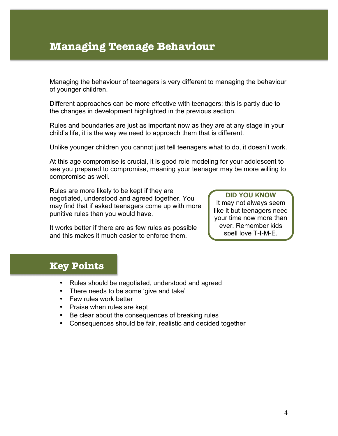# **Managing Teenage Behaviour**

Managing the behaviour of teenagers is very different to managing the behaviour of younger children.

Different approaches can be more effective with teenagers; this is partly due to the changes in development highlighted in the previous section.

Rules and boundaries are just as important now as they are at any stage in your child's life, it is the way we need to approach them that is different.

Unlike younger children you cannot just tell teenagers what to do, it doesn't work.

At this age compromise is crucial, it is good role modeling for your adolescent to see you prepared to compromise, meaning your teenager may be more willing to compromise as well.

Rules are more likely to be kept if they are negotiated, understood and agreed together. You may find that if asked teenagers come up with more punitive rules than you would have.

It works better if there are as few rules as possible and this makes it much easier to enforce them.

**DID YOU KNOW** It may not always seem like it but teenagers need your time now more than ever. Remember kids spell love T-I-M-E.

### **Key Points**

I

- Rules should be negotiated, understood and agreed
- There needs to be some 'give and take'
- Few rules work better
- Praise when rules are kept
- Be clear about the consequences of breaking rules
- Consequences should be fair, realistic and decided together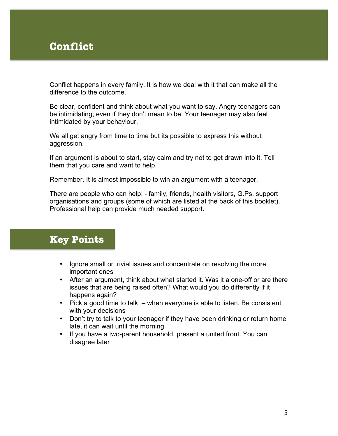# **Conflict**

Conflict happens in every family. It is how we deal with it that can make all the difference to the outcome.

Be clear, confident and think about what you want to say. Angry teenagers can be intimidating, even if they don't mean to be. Your teenager may also feel intimidated by your behaviour.

We all get angry from time to time but its possible to express this without aggression.

If an argument is about to start, stay calm and try not to get drawn into it. Tell them that you care and want to help.

Remember, It is almost impossible to win an argument with a teenager.

There are people who can help: - family, friends, health visitors, G.Ps, support organisations and groups (some of which are listed at the back of this booklet). Professional help can provide much needed support.

- Ignore small or trivial issues and concentrate on resolving the more important ones
- After an argument, think about what started it. Was it a one-off or are there issues that are being raised often? What would you do differently if it happens again?
- Pick a good time to talk when everyone is able to listen. Be consistent with your decisions
- Don't try to talk to your teenager if they have been drinking or return home late, it can wait until the morning
- If you have a two-parent household, present a united front. You can disagree later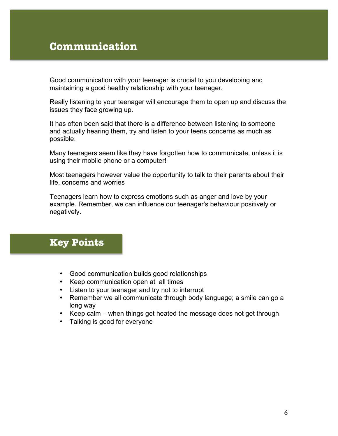# **Communication**

Good communication with your teenager is crucial to you developing and maintaining a good healthy relationship with your teenager.

Really listening to your teenager will encourage them to open up and discuss the issues they face growing up.

It has often been said that there is a difference between listening to someone and actually hearing them, try and listen to your teens concerns as much as possible.

Many teenagers seem like they have forgotten how to communicate, unless it is using their mobile phone or a computer!

Most teenagers however value the opportunity to talk to their parents about their life, concerns and worries

Teenagers learn how to express emotions such as anger and love by your example. Remember, we can influence our teenager's behaviour positively or negatively.

- Good communication builds good relationships
- Keep communication open at all times
- Listen to your teenager and try not to interrupt
- Remember we all communicate through body language; a smile can go a long way
- Keep calm when things get heated the message does not get through
- Talking is good for everyone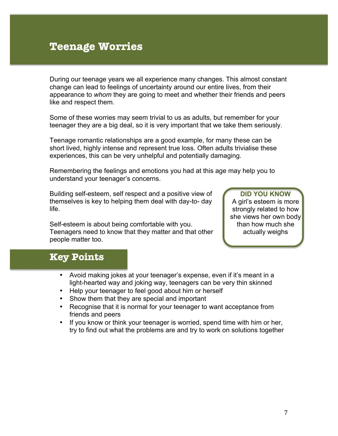## **Teenage Worries**

During our teenage years we all experience many changes. This almost constant change can lead to feelings of uncertainty around our entire lives, from their appearance to *whom* they are going to meet and whether their friends and peers like and respect them.

Some of these worries may seem trivial to us as adults, but remember for your teenager they are a big deal, so it is very important that we take them seriously.

Teenage romantic relationships are a good example, for many these can be short lived, highly intense and represent true loss. Often adults trivialise these experiences, this can be very unhelpful and potentially damaging.

Remembering the feelings and emotions you had at this age may help you to understand your teenager's concerns.

Building self-esteem, self respect and a positive view of themselves is key to helping them deal with day-to- day life.

Self-esteem is about being comfortable with you. Teenagers need to know that they matter and that other people matter too.

**DID YOU KNOW** A girl's esteem is more strongly related to how she views her own body than how much she actually weighs

- Avoid making jokes at your teenager's expense, even if it's meant in a light-hearted way and joking way, teenagers can be very thin skinned
- Help your teenager to feel good about him or herself
- Show them that they are special and important
- Recognise that it is normal for your teenager to want acceptance from friends and peers
- If you know or think your teenager is worried, spend time with him or her, try to find out what the problems are and try to work on solutions together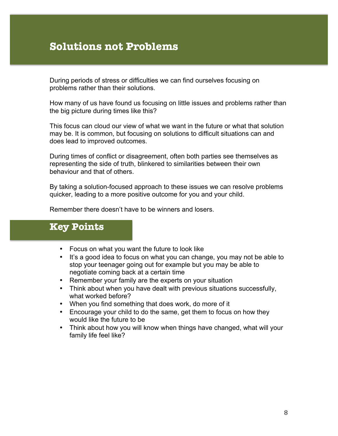## **Solutions not Problems**

During periods of stress or difficulties we can find ourselves focusing on problems rather than their solutions.

How many of us have found us focusing on little issues and problems rather than the big picture during times like this?

This focus can cloud our view of what we want in the future or what that solution may be. It is common, but focusing on solutions to difficult situations can and does lead to improved outcomes.

During times of conflict or disagreement, often both parties see themselves as representing the side of truth, blinkered to similarities between their own behaviour and that of others.

By taking a solution-focused approach to these issues we can resolve problems quicker, leading to a more positive outcome for you and your child.

Remember there doesn't have to be winners and losers.

### **Key Points**

ׇ֘֒

- Focus on what you want the future to look like
- It's a good idea to focus on what you can change, you may not be able to stop your teenager going out for example but you may be able to negotiate coming back at a certain time
- Remember your family are the experts on your situation
- Think about when you have dealt with previous situations successfully, what worked before?
- When you find something that does work, do more of it
- Encourage your child to do the same, get them to focus on how they would like the future to be
- Think about how you will know when things have changed, what will your family life feel like?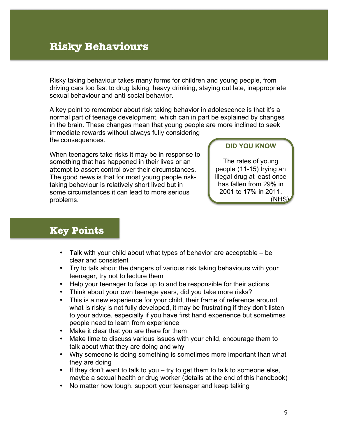# **Risky Behaviours**

l

Risky taking behaviour takes many forms for children and young people, from driving cars too fast to drug taking, heavy drinking, staying out late, inappropriate sexual behaviour and anti-social behavior.

A key point to remember about risk taking behavior in adolescence is that it's a normal part of teenage development, which can in part be explained by changes in the brain. These changes mean that young people are more inclined to seek immediate rewards without always fully considering the consequences.

When teenagers take risks it may be in response to something that has happened in their lives or an attempt to assert control over their circumstances. The good news is that for most young people risktaking behaviour is relatively short lived but in some circumstances it can lead to more serious problems.

#### **DID YOU KNOW**

The rates of young people (11-15) trying an illegal drug at least once has fallen from 29% in 2001 to 17% in 2011. (NHS)

### **Key Points**

j

- Talk with your child about what types of behavior are acceptable be clear and consistent
- Try to talk about the dangers of various risk taking behaviours with your teenager, try not to lecture them
- Help your teenager to face up to and be responsible for their actions
- Think about your own teenage years, did you take more risks?
- This is a new experience for your child, their frame of reference around what is risky is not fully developed, it may be frustrating if they don't listen to your advice, especially if you have first hand experience but sometimes people need to learn from experience
- Make it clear that you are there for them
- Make time to discuss various issues with your child, encourage them to talk about what they are doing and why
- Why someone is doing something is sometimes more important than what they are doing
- If they don't want to talk to you try to get them to talk to someone else, maybe a sexual health or drug worker (details at the end of this handbook)
- No matter how tough, support your teenager and keep talking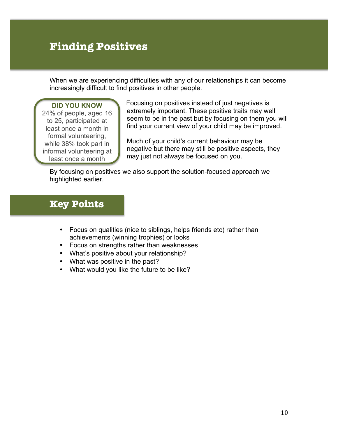# **Finding Positives**

When we are experiencing difficulties with any of our relationships it can become increasingly difficult to find positives in other people.

#### **DID YOU KNOW**

j

24% of people, aged 16 to 25, participated at least once a month in formal volunteering, while 38% took part in informal volunteering at least once a month

Focusing on positives instead of just negatives is extremely important. These positive traits may well seem to be in the past but by focusing on them you will find your current view of your child may be improved.

Much of your child's current behaviour may be negative but there may still be positive aspects, they may just not always be focused on you.

By focusing on positives we also support the solution-focused approach we highlighted earlier.

- Focus on qualities (nice to siblings, helps friends etc) rather than achievements (winning trophies) or looks
- Focus on strengths rather than weaknesses
- What's positive about your relationship?
- What was positive in the past?
- What would you like the future to be like?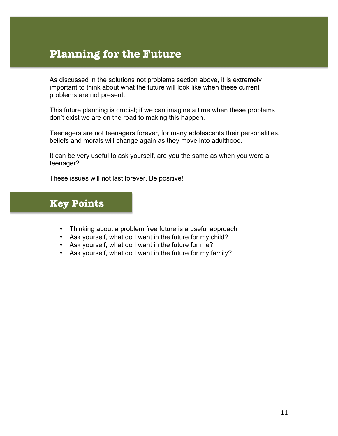## **Planning for the Future**

As discussed in the solutions not problems section above, it is extremely important to think about what the future will look like when these current problems are not present.

This future planning is crucial; if we can imagine a time when these problems don't exist we are on the road to making this happen.

Teenagers are not teenagers forever, for many adolescents their personalities, beliefs and morals will change again as they move into adulthood.

It can be very useful to ask yourself, are you the same as when you were a teenager?

These issues will not last forever. Be positive!

- Thinking about a problem free future is a useful approach
- Ask yourself, what do I want in the future for my child?
- Ask yourself, what do I want in the future for me?
- Ask yourself, what do I want in the future for my family?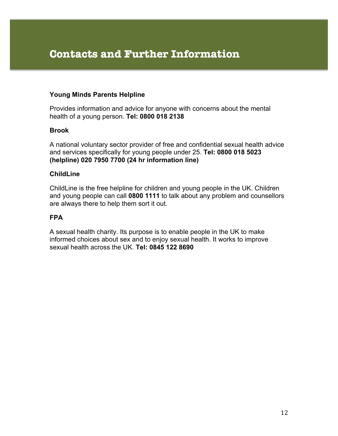## **Contacts and Further Information**

#### **Young Minds Parents Helpline**

Provides information and advice for anyone with concerns about the mental health of a young person. **Tel: 0800 018 2138**

#### **Brook**

A national voluntary sector provider of free and confidential sexual health advice and services specifically for young people under 25. **Tel: 0800 018 5023 (helpline) 020 7950 7700 (24 hr information line)**

#### **ChildLine**

ChildLine is the free helpline for children and young people in the UK. Children and young people can call **0800 1111** to talk about any problem and counsellors are always there to help them sort it out.

#### **FPA**

A sexual health charity. Its purpose is to enable people in the UK to make informed choices about sex and to enjoy sexual health. It works to improve sexual health across the UK. **Tel: 0845 122 8690**